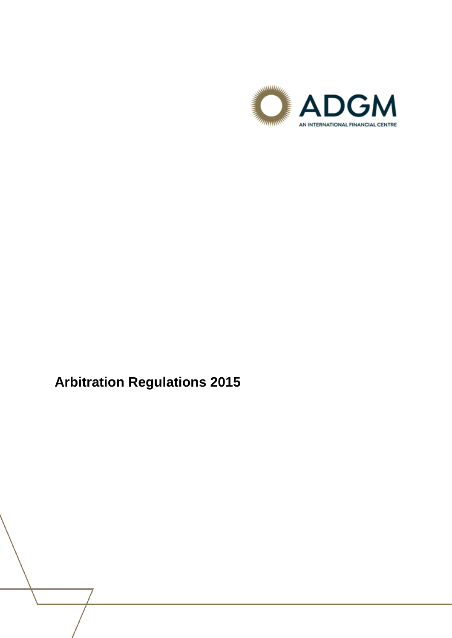

# **Arbitration Regulations 2015**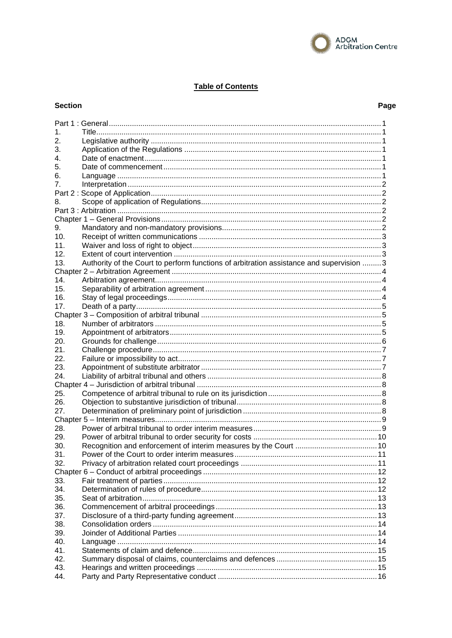

## **Table of Contents**

## **Section**

## Page

| 1.  |                                                                                          |  |
|-----|------------------------------------------------------------------------------------------|--|
| 2.  |                                                                                          |  |
| 3.  |                                                                                          |  |
| 4.  |                                                                                          |  |
| 5.  |                                                                                          |  |
| 6.  |                                                                                          |  |
| 7.  |                                                                                          |  |
|     |                                                                                          |  |
| 8.  |                                                                                          |  |
|     |                                                                                          |  |
|     |                                                                                          |  |
| 9.  |                                                                                          |  |
| 10. |                                                                                          |  |
| 11. |                                                                                          |  |
|     |                                                                                          |  |
| 12. |                                                                                          |  |
| 13. | Authority of the Court to perform functions of arbitration assistance and supervision  3 |  |
|     |                                                                                          |  |
| 14. |                                                                                          |  |
| 15. |                                                                                          |  |
| 16. |                                                                                          |  |
| 17. |                                                                                          |  |
|     |                                                                                          |  |
| 18. |                                                                                          |  |
| 19. |                                                                                          |  |
| 20. |                                                                                          |  |
| 21. |                                                                                          |  |
| 22. |                                                                                          |  |
| 23. |                                                                                          |  |
| 24. |                                                                                          |  |
|     |                                                                                          |  |
| 25. |                                                                                          |  |
| 26. |                                                                                          |  |
| 27. |                                                                                          |  |
|     |                                                                                          |  |
| 28. |                                                                                          |  |
| 29. |                                                                                          |  |
| 30. |                                                                                          |  |
| 31. |                                                                                          |  |
| 32. |                                                                                          |  |
|     |                                                                                          |  |
|     |                                                                                          |  |
| 33. |                                                                                          |  |
| 34. |                                                                                          |  |
| 35. |                                                                                          |  |
| 36. |                                                                                          |  |
| 37. |                                                                                          |  |
| 38. |                                                                                          |  |
| 39. |                                                                                          |  |
| 40. |                                                                                          |  |
| 41. |                                                                                          |  |
| 42. |                                                                                          |  |
| 43. |                                                                                          |  |
| 44. |                                                                                          |  |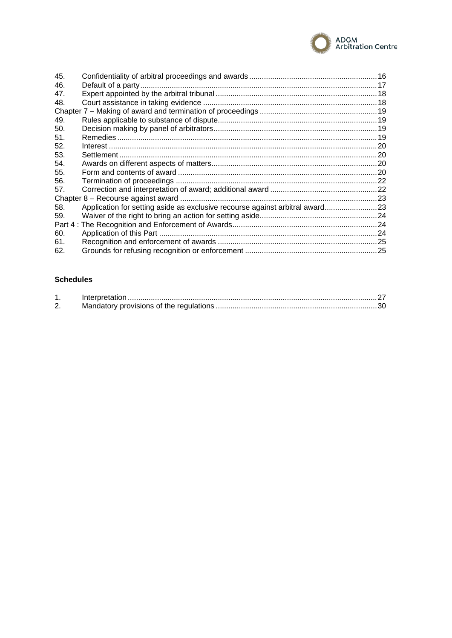

| 45.<br>46. |                                                                              |  |
|------------|------------------------------------------------------------------------------|--|
| 47.        |                                                                              |  |
| 48.        |                                                                              |  |
|            |                                                                              |  |
| 49.        |                                                                              |  |
| 50.        |                                                                              |  |
| 51.        |                                                                              |  |
| 52.        |                                                                              |  |
| 53.        |                                                                              |  |
| 54.        |                                                                              |  |
| 55.        |                                                                              |  |
| 56.        |                                                                              |  |
| 57.        |                                                                              |  |
|            |                                                                              |  |
| 58.        | Application for setting aside as exclusive recourse against arbitral award23 |  |
| 59.        |                                                                              |  |
|            |                                                                              |  |
| 60.        |                                                                              |  |
| 61.        |                                                                              |  |
| 62.        |                                                                              |  |

## **Schedules**

| 2. |  |
|----|--|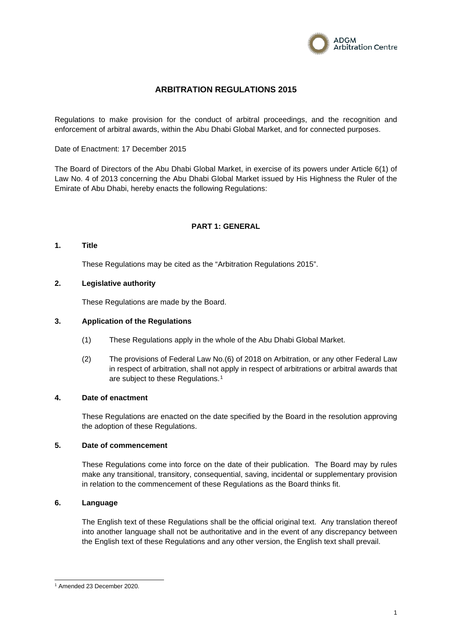

## **ARBITRATION REGULATIONS 2015**

Regulations to make provision for the conduct of arbitral proceedings, and the recognition and enforcement of arbitral awards, within the Abu Dhabi Global Market, and for connected purposes.

Date of Enactment: 17 December 2015

The Board of Directors of the Abu Dhabi Global Market, in exercise of its powers under Article 6(1) of Law No. 4 of 2013 concerning the Abu Dhabi Global Market issued by His Highness the Ruler of the Emirate of Abu Dhabi, hereby enacts the following Regulations:

## **PART 1: GENERAL**

#### <span id="page-3-1"></span><span id="page-3-0"></span>**1. Title**

These Regulations may be cited as the "Arbitration Regulations 2015".

#### <span id="page-3-2"></span>**2. Legislative authority**

These Regulations are made by the Board.

#### <span id="page-3-3"></span>**3. Application of the Regulations**

- (1) These Regulations apply in the whole of the Abu Dhabi Global Market.
- (2) The provisions of Federal Law No.(6) of 2018 on Arbitration, or any other Federal Law in respect of arbitration, shall not apply in respect of arbitrations or arbitral awards that are subject to these Regulations.<sup>[1](#page-3-7)</sup>

#### <span id="page-3-4"></span>**4. Date of enactment**

These Regulations are enacted on the date specified by the Board in the resolution approving the adoption of these Regulations.

## <span id="page-3-5"></span>**5. Date of commencement**

These Regulations come into force on the date of their publication. The Board may by rules make any transitional, transitory, consequential, saving, incidental or supplementary provision in relation to the commencement of these Regulations as the Board thinks fit.

## <span id="page-3-6"></span>**6. Language**

The English text of these Regulations shall be the official original text. Any translation thereof into another language shall not be authoritative and in the event of any discrepancy between the English text of these Regulations and any other version, the English text shall prevail.

<span id="page-3-7"></span><sup>1</sup> Amended 23 December 2020.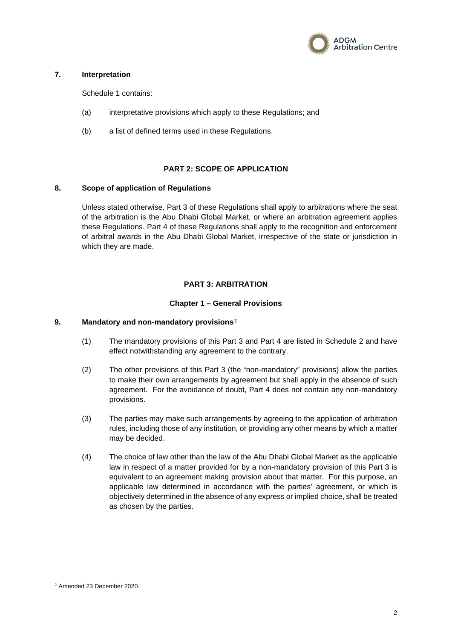

## <span id="page-4-0"></span>**7. Interpretation**

[Schedule 1](#page-29-1) contains:

- (a) interpretative provisions which apply to these Regulations; and
- (b) a list of defined terms used in these Regulations.

## **PART 2: SCOPE OF APPLICATION**

## <span id="page-4-2"></span><span id="page-4-1"></span>**8. Scope of application of Regulations**

Unless stated otherwise, [Part 3](#page-4-3) of these Regulations shall apply to arbitrations where the seat of the arbitration is the Abu Dhabi Global Market, or where an arbitration agreement applies these Regulations. [Part 4](#page-26-1) of these Regulations shall apply to the recognition and enforcement of arbitral awards in the Abu Dhabi Global Market, irrespective of the state or jurisdiction in which they are made.

## <span id="page-4-4"></span>**PART 3: ARBITRATION**

## **Chapter 1 – General Provisions**

## <span id="page-4-5"></span><span id="page-4-3"></span>**9. Mandatory and non-mandatory provisions**[2](#page-4-6)

- (1) The mandatory provisions of this [Part 3](#page-4-3) and [Part 4](#page-26-1) are listed in [Schedule 2](#page-32-1) and have effect notwithstanding any agreement to the contrary.
- (2) The other provisions of this [Part 3](#page-4-3) (the "non-mandatory" provisions) allow the parties to make their own arrangements by agreement but shall apply in the absence of such agreement. For the avoidance of doubt, [Part 4](#page-26-1) does not contain any non-mandatory provisions.
- (3) The parties may make such arrangements by agreeing to the application of arbitration rules, including those of any institution, or providing any other means by which a matter may be decided.
- (4) The choice of law other than the law of the Abu Dhabi Global Market as the applicable law in respect of a matter provided for by a non-mandatory provision of this [Part 3](#page-4-3) is equivalent to an agreement making provision about that matter. For this purpose, an applicable law determined in accordance with the parties' agreement, or which is objectively determined in the absence of any express or implied choice, shall be treated as chosen by the parties.

<span id="page-4-6"></span><sup>2</sup> Amended 23 December 2020.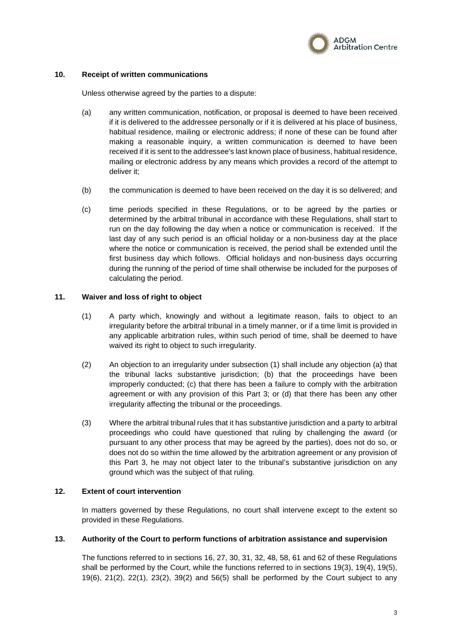

## <span id="page-5-0"></span>**10. Receipt of written communications**

Unless otherwise agreed by the parties to a dispute:

- (a) any written communication, notification, or proposal is deemed to have been received if it is delivered to the addressee personally or if it is delivered at his place of business, habitual residence, mailing or electronic address; if none of these can be found after making a reasonable inquiry, a written communication is deemed to have been received if it is sent to the addressee's last known place of business, habitual residence, mailing or electronic address by any means which provides a record of the attempt to deliver it;
- (b) the communication is deemed to have been received on the day it is so delivered; and
- (c) time periods specified in these Regulations, or to be agreed by the parties or determined by the arbitral tribunal in accordance with these Regulations, shall start to run on the day following the day when a notice or communication is received. If the last day of any such period is an official holiday or a non-business day at the place where the notice or communication is received, the period shall be extended until the first business day which follows. Official holidays and non-business days occurring during the running of the period of time shall otherwise be included for the purposes of calculating the period.

## <span id="page-5-4"></span><span id="page-5-1"></span>**11. Waiver and loss of right to object**

- (1) A party which, knowingly and without a legitimate reason, fails to object to an irregularity before the arbitral tribunal in a timely manner, or if a time limit is provided in any applicable arbitration rules, within such period of time, shall be deemed to have waived its right to object to such irregularity.
- (2) An objection to an irregularity under subsection [\(1\)](#page-5-4) shall include any objection (a) that the tribunal lacks substantive jurisdiction; (b) that the proceedings have been improperly conducted; (c) that there has been a failure to comply with the arbitration agreement or with any provision of this [Part 3;](#page-4-3) or (d) that there has been any other irregularity affecting the tribunal or the proceedings.
- (3) Where the arbitral tribunal rules that it has substantive jurisdiction and a party to arbitral proceedings who could have questioned that ruling by challenging the award (or pursuant to any other process that may be agreed by the parties), does not do so, or does not do so within the time allowed by the arbitration agreement or any provision of this [Part 3,](#page-4-3) he may not object later to the tribunal's substantive jurisdiction on any ground which was the subject of that ruling.

## <span id="page-5-2"></span>**12. Extent of court intervention**

In matters governed by these Regulations, no court shall intervene except to the extent so provided in these Regulations.

#### <span id="page-5-3"></span>**13. Authority of the Court to perform functions of arbitration assistance and supervision**

The functions referred to in sections [16,](#page-6-3) [27,](#page-10-4) [30,](#page-12-1) [31,](#page-13-0) [32,](#page-13-1) [48,](#page-20-1) [58,](#page-25-1) [61](#page-27-0) and [62](#page-27-1) of these Regulations shall be performed by the Court, while the functions referred to in sections [19\(3\),](#page-8-1) [19\(4\),](#page-8-2) [19\(5\),](#page-8-3) [19\(6\),](#page-8-4) [21\(2\),](#page-9-3) [22\(1\),](#page-9-4) [23\(2\),](#page-9-5) [39\(2\)](#page-16-3) and [56\(5\)](#page-24-2) shall be performed by the Court subject to any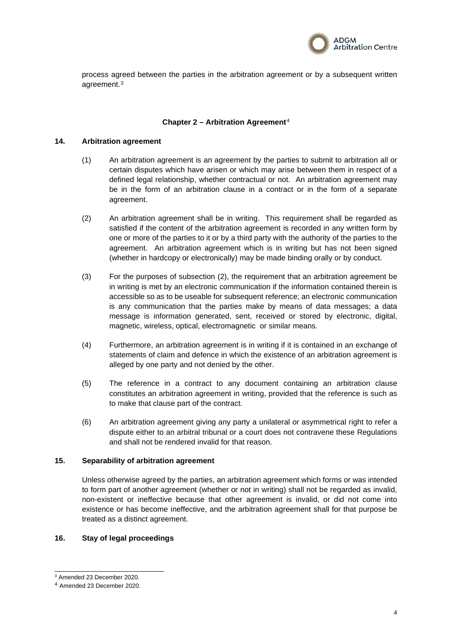

process agreed between the parties in the arbitration agreement or by a subsequent written agreement.[3](#page-6-5)

## <span id="page-6-0"></span>**Chapter 2 – Arbitration Agreement**[4](#page-6-6)

#### <span id="page-6-1"></span>**14. Arbitration agreement**

- (1) An arbitration agreement is an agreement by the parties to submit to arbitration all or certain disputes which have arisen or which may arise between them in respect of a defined legal relationship, whether contractual or not. An arbitration agreement may be in the form of an arbitration clause in a contract or in the form of a separate agreement.
- <span id="page-6-4"></span>(2) An arbitration agreement shall be in writing. This requirement shall be regarded as satisfied if the content of the arbitration agreement is recorded in any written form by one or more of the parties to it or by a third party with the authority of the parties to the agreement. An arbitration agreement which is in writing but has not been signed (whether in hardcopy or electronically) may be made binding orally or by conduct.
- (3) For the purposes of subsection [\(2\),](#page-6-4) the requirement that an arbitration agreement be in writing is met by an electronic communication if the information contained therein is accessible so as to be useable for subsequent reference; an electronic communication is any communication that the parties make by means of data messages; a data message is information generated, sent, received or stored by electronic, digital, magnetic, wireless, optical, electromagnetic or similar means.
- (4) Furthermore, an arbitration agreement is in writing if it is contained in an exchange of statements of claim and defence in which the existence of an arbitration agreement is alleged by one party and not denied by the other.
- (5) The reference in a contract to any document containing an arbitration clause constitutes an arbitration agreement in writing, provided that the reference is such as to make that clause part of the contract.
- (6) An arbitration agreement giving any party a unilateral or asymmetrical right to refer a dispute either to an arbitral tribunal or a court does not contravene these Regulations and shall not be rendered invalid for that reason.

## <span id="page-6-2"></span>**15. Separability of arbitration agreement**

Unless otherwise agreed by the parties, an arbitration agreement which forms or was intended to form part of another agreement (whether or not in writing) shall not be regarded as invalid, non-existent or ineffective because that other agreement is invalid, or did not come into existence or has become ineffective, and the arbitration agreement shall for that purpose be treated as a distinct agreement.

#### <span id="page-6-3"></span>**16. Stay of legal proceedings**

<span id="page-6-5"></span><sup>3</sup> Amended 23 December 2020.

<span id="page-6-6"></span><sup>4</sup> Amended 23 December 2020.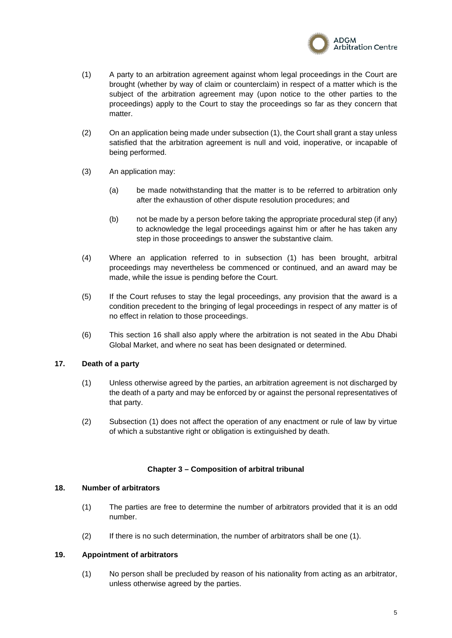

- <span id="page-7-4"></span>(1) A party to an arbitration agreement against whom legal proceedings in the Court are brought (whether by way of claim or counterclaim) in respect of a matter which is the subject of the arbitration agreement may (upon notice to the other parties to the proceedings) apply to the Court to stay the proceedings so far as they concern that matter.
- (2) On an application being made under subsectio[n \(1\),](#page-7-4) the Court shall grant a stay unless satisfied that the arbitration agreement is null and void, inoperative, or incapable of being performed.
- (3) An application may:
	- (a) be made notwithstanding that the matter is to be referred to arbitration only after the exhaustion of other dispute resolution procedures; and
	- (b) not be made by a person before taking the appropriate procedural step (if any) to acknowledge the legal proceedings against him or after he has taken any step in those proceedings to answer the substantive claim.
- (4) Where an application referred to in subsection [\(1\)](#page-7-4) has been brought, arbitral proceedings may nevertheless be commenced or continued, and an award may be made, while the issue is pending before the Court.
- (5) If the Court refuses to stay the legal proceedings, any provision that the award is a condition precedent to the bringing of legal proceedings in respect of any matter is of no effect in relation to those proceedings.
- (6) This section [16](#page-6-3) shall also apply where the arbitration is not seated in the Abu Dhabi Global Market, and where no seat has been designated or determined.

## <span id="page-7-5"></span><span id="page-7-0"></span>**17. Death of a party**

- (1) Unless otherwise agreed by the parties, an arbitration agreement is not discharged by the death of a party and may be enforced by or against the personal representatives of that party.
- (2) Subsection [\(1\)](#page-7-5) does not affect the operation of any enactment or rule of law by virtue of which a substantive right or obligation is extinguished by death.

## <span id="page-7-1"></span>**Chapter 3 – Composition of arbitral tribunal**

#### <span id="page-7-2"></span>**18. Number of arbitrators**

- (1) The parties are free to determine the number of arbitrators provided that it is an odd number.
- (2) If there is no such determination, the number of arbitrators shall be one (1).

## <span id="page-7-3"></span>**19. Appointment of arbitrators**

(1) No person shall be precluded by reason of his nationality from acting as an arbitrator, unless otherwise agreed by the parties.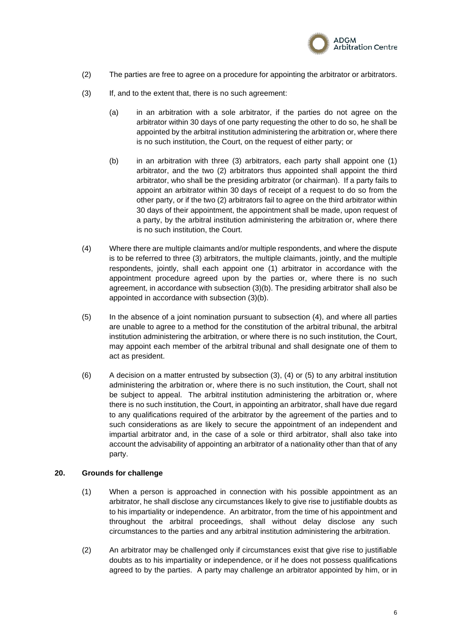

- <span id="page-8-1"></span>(2) The parties are free to agree on a procedure for appointing the arbitrator or arbitrators.
- <span id="page-8-5"></span>(3) If, and to the extent that, there is no such agreement:
	- (a) in an arbitration with a sole arbitrator, if the parties do not agree on the arbitrator within 30 days of one party requesting the other to do so, he shall be appointed by the arbitral institution administering the arbitration or, where there is no such institution, the Court, on the request of either party; or
	- (b) in an arbitration with three (3) arbitrators, each party shall appoint one (1) arbitrator, and the two (2) arbitrators thus appointed shall appoint the third arbitrator, who shall be the presiding arbitrator (or chairman). If a party fails to appoint an arbitrator within 30 days of receipt of a request to do so from the other party, or if the two (2) arbitrators fail to agree on the third arbitrator within 30 days of their appointment, the appointment shall be made, upon request of a party, by the arbitral institution administering the arbitration or, where there is no such institution, the Court.
- <span id="page-8-2"></span>(4) Where there are multiple claimants and/or multiple respondents, and where the dispute is to be referred to three (3) arbitrators, the multiple claimants, jointly, and the multiple respondents, jointly, shall each appoint one (1) arbitrator in accordance with the appointment procedure agreed upon by the parties or, where there is no such agreement, in accordance with subsection [\(3\)\(b\).](#page-8-5) The presiding arbitrator shall also be appointed in accordance with subsection [\(3\)\(b\).](#page-8-5)
- <span id="page-8-3"></span>(5) In the absence of a joint nomination pursuant to subsection [\(4\),](#page-8-2) and where all parties are unable to agree to a method for the constitution of the arbitral tribunal, the arbitral institution administering the arbitration, or where there is no such institution, the Court, may appoint each member of the arbitral tribunal and shall designate one of them to act as president.
- <span id="page-8-4"></span>(6) A decision on a matter entrusted by subsection [\(3\),](#page-8-1) [\(4\)](#page-8-2) or [\(5\)](#page-8-3) to any arbitral institution administering the arbitration or, where there is no such institution, the Court, shall not be subject to appeal. The arbitral institution administering the arbitration or, where there is no such institution, the Court, in appointing an arbitrator, shall have due regard to any qualifications required of the arbitrator by the agreement of the parties and to such considerations as are likely to secure the appointment of an independent and impartial arbitrator and, in the case of a sole or third arbitrator, shall also take into account the advisability of appointing an arbitrator of a nationality other than that of any party.

## <span id="page-8-0"></span>**20. Grounds for challenge**

- (1) When a person is approached in connection with his possible appointment as an arbitrator, he shall disclose any circumstances likely to give rise to justifiable doubts as to his impartiality or independence. An arbitrator, from the time of his appointment and throughout the arbitral proceedings, shall without delay disclose any such circumstances to the parties and any arbitral institution administering the arbitration.
- <span id="page-8-6"></span>(2) An arbitrator may be challenged only if circumstances exist that give rise to justifiable doubts as to his impartiality or independence, or if he does not possess qualifications agreed to by the parties. A party may challenge an arbitrator appointed by him, or in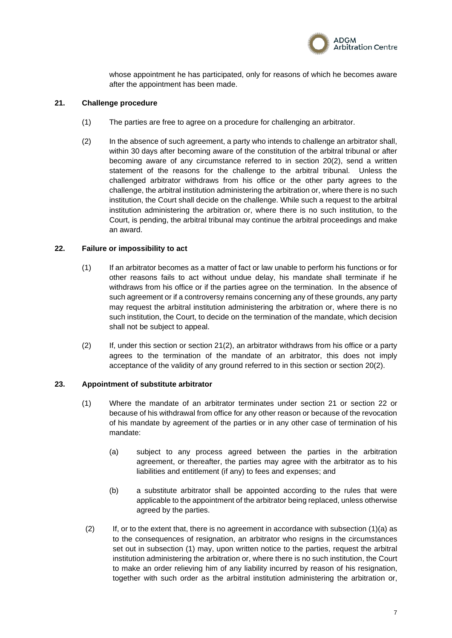

whose appointment he has participated, only for reasons of which he becomes aware after the appointment has been made.

## <span id="page-9-3"></span><span id="page-9-0"></span>**21. Challenge procedure**

- (1) The parties are free to agree on a procedure for challenging an arbitrator.
- (2) In the absence of such agreement, a party who intends to challenge an arbitrator shall, within 30 days after becoming aware of the constitution of the arbitral tribunal or after becoming aware of any circumstance referred to in section [20\(2\),](#page-8-6) send a written statement of the reasons for the challenge to the arbitral tribunal. Unless the challenged arbitrator withdraws from his office or the other party agrees to the challenge, the arbitral institution administering the arbitration or, where there is no such institution, the Court shall decide on the challenge. While such a request to the arbitral institution administering the arbitration or, where there is no such institution, to the Court, is pending, the arbitral tribunal may continue the arbitral proceedings and make an award.

#### <span id="page-9-4"></span><span id="page-9-1"></span>**22. Failure or impossibility to act**

- (1) If an arbitrator becomes as a matter of fact or law unable to perform his functions or for other reasons fails to act without undue delay, his mandate shall terminate if he withdraws from his office or if the parties agree on the termination. In the absence of such agreement or if a controversy remains concerning any of these grounds, any party may request the arbitral institution administering the arbitration or, where there is no such institution, the Court, to decide on the termination of the mandate, which decision shall not be subject to appeal.
- (2) If, under this section or section [21\(2\),](#page-9-3) an arbitrator withdraws from his office or a party agrees to the termination of the mandate of an arbitrator, this does not imply acceptance of the validity of any ground referred to in this section or section [20\(2\).](#page-8-6)

## <span id="page-9-7"></span><span id="page-9-2"></span>**23. Appointment of substitute arbitrator**

- <span id="page-9-6"></span>(1) Where the mandate of an arbitrator terminates under section [21](#page-9-0) or section [22](#page-9-1) or because of his withdrawal from office for any other reason or because of the revocation of his mandate by agreement of the parties or in any other case of termination of his mandate:
	- (a) subject to any process agreed between the parties in the arbitration agreement, or thereafter, the parties may agree with the arbitrator as to his liabilities and entitlement (if any) to fees and expenses; and
	- (b) a substitute arbitrator shall be appointed according to the rules that were applicable to the appointment of the arbitrator being replaced, unless otherwise agreed by the parties.
- <span id="page-9-5"></span> $(2)$  If, or to the extent that, there is no agreement in accordance with subsection  $(1)(a)$  as to the consequences of resignation, an arbitrator who resigns in the circumstances set out in subsection [\(1\)](#page-9-7) may, upon written notice to the parties, request the arbitral institution administering the arbitration or, where there is no such institution, the Court to make an order relieving him of any liability incurred by reason of his resignation, together with such order as the arbitral institution administering the arbitration or,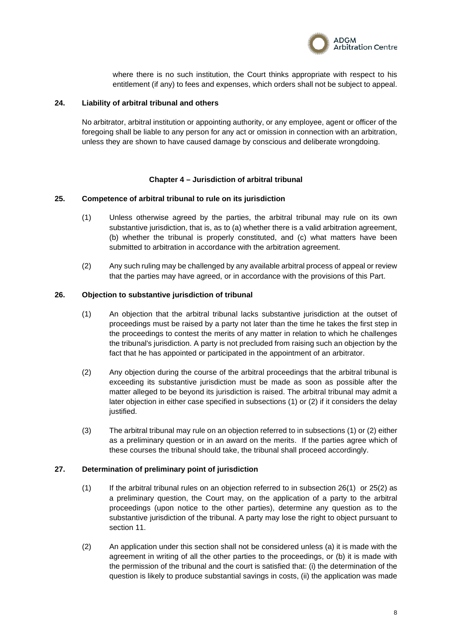

where there is no such institution, the Court thinks appropriate with respect to his entitlement (if any) to fees and expenses, which orders shall not be subject to appeal.

#### <span id="page-10-0"></span>**24. Liability of arbitral tribunal and others**

No arbitrator, arbitral institution or appointing authority, or any employee, agent or officer of the foregoing shall be liable to any person for any act or omission in connection with an arbitration, unless they are shown to have caused damage by conscious and deliberate wrongdoing.

#### <span id="page-10-1"></span>**Chapter 4 – Jurisdiction of arbitral tribunal**

#### <span id="page-10-2"></span>**25. Competence of arbitral tribunal to rule on its jurisdiction**

- (1) Unless otherwise agreed by the parties, the arbitral tribunal may rule on its own substantive jurisdiction, that is, as to (a) whether there is a valid arbitration agreement, (b) whether the tribunal is properly constituted, and (c) what matters have been submitted to arbitration in accordance with the arbitration agreement.
- (2) Any such ruling may be challenged by any available arbitral process of appeal or review that the parties may have agreed, or in accordance with the provisions of this Part.

#### <span id="page-10-5"></span><span id="page-10-3"></span>**26. Objection to substantive jurisdiction of tribunal**

- (1) An objection that the arbitral tribunal lacks substantive jurisdiction at the outset of proceedings must be raised by a party not later than the time he takes the first step in the proceedings to contest the merits of any matter in relation to which he challenges the tribunal's jurisdiction. A party is not precluded from raising such an objection by the fact that he has appointed or participated in the appointment of an arbitrator.
- <span id="page-10-6"></span>(2) Any objection during the course of the arbitral proceedings that the arbitral tribunal is exceeding its substantive jurisdiction must be made as soon as possible after the matter alleged to be beyond its jurisdiction is raised. The arbitral tribunal may admit a later objection in either case specified in subsections [\(1\)](#page-10-5) or [\(2\)](#page-10-6) if it considers the delay justified.
- (3) The arbitral tribunal may rule on an objection referred to in subsections [\(1\)](#page-10-5) or [\(2\)](#page-10-6) either as a preliminary question or in an award on the merits. If the parties agree which of these courses the tribunal should take, the tribunal shall proceed accordingly.

## <span id="page-10-4"></span>**27. Determination of preliminary point of jurisdiction**

- (1) If the arbitral tribunal rules on an objection referred to in subsection [26\(1\)](#page-10-5) or 25(2) as a preliminary question, the Court may, on the application of a party to the arbitral proceedings (upon notice to the other parties), determine any question as to the substantive jurisdiction of the tribunal. A party may lose the right to object pursuant to section [11.](#page-5-1)
- (2) An application under this section shall not be considered unless (a) it is made with the agreement in writing of all the other parties to the proceedings, or (b) it is made with the permission of the tribunal and the court is satisfied that: (i) the determination of the question is likely to produce substantial savings in costs, (ii) the application was made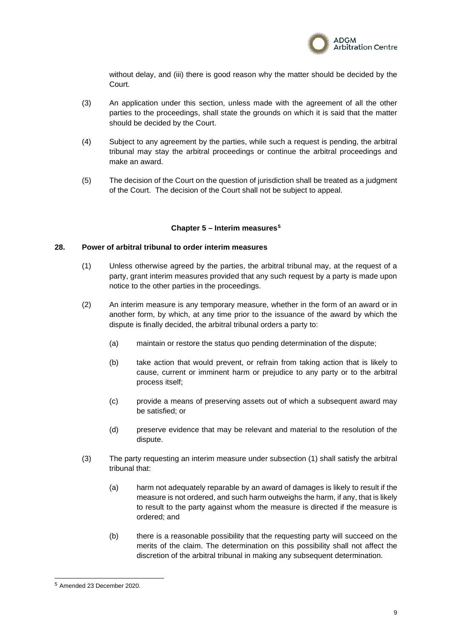

without delay, and (iii) there is good reason why the matter should be decided by the Court.

- (3) An application under this section, unless made with the agreement of all the other parties to the proceedings, shall state the grounds on which it is said that the matter should be decided by the Court.
- (4) Subject to any agreement by the parties, while such a request is pending, the arbitral tribunal may stay the arbitral proceedings or continue the arbitral proceedings and make an award.
- (5) The decision of the Court on the question of jurisdiction shall be treated as a judgment of the Court. The decision of the Court shall not be subject to appeal.

## <span id="page-11-0"></span>**Chapter 5 – Interim measures[5](#page-11-3)**

#### <span id="page-11-2"></span><span id="page-11-1"></span>**28. Power of arbitral tribunal to order interim measures**

- (1) Unless otherwise agreed by the parties, the arbitral tribunal may, at the request of a party, grant interim measures provided that any such request by a party is made upon notice to the other parties in the proceedings.
- (2) An interim measure is any temporary measure, whether in the form of an award or in another form, by which, at any time prior to the issuance of the award by which the dispute is finally decided, the arbitral tribunal orders a party to:
	- (a) maintain or restore the status quo pending determination of the dispute;
	- (b) take action that would prevent, or refrain from taking action that is likely to cause, current or imminent harm or prejudice to any party or to the arbitral process itself;
	- (c) provide a means of preserving assets out of which a subsequent award may be satisfied; or
	- (d) preserve evidence that may be relevant and material to the resolution of the dispute.
- <span id="page-11-5"></span><span id="page-11-4"></span>(3) The party requesting an interim measure under subsection [\(1\)](#page-11-2) shall satisfy the arbitral tribunal that:
	- (a) harm not adequately reparable by an award of damages is likely to result if the measure is not ordered, and such harm outweighs the harm, if any, that is likely to result to the party against whom the measure is directed if the measure is ordered; and
	- (b) there is a reasonable possibility that the requesting party will succeed on the merits of the claim. The determination on this possibility shall not affect the discretion of the arbitral tribunal in making any subsequent determination.

<span id="page-11-6"></span><span id="page-11-3"></span><sup>5</sup> Amended 23 December 2020.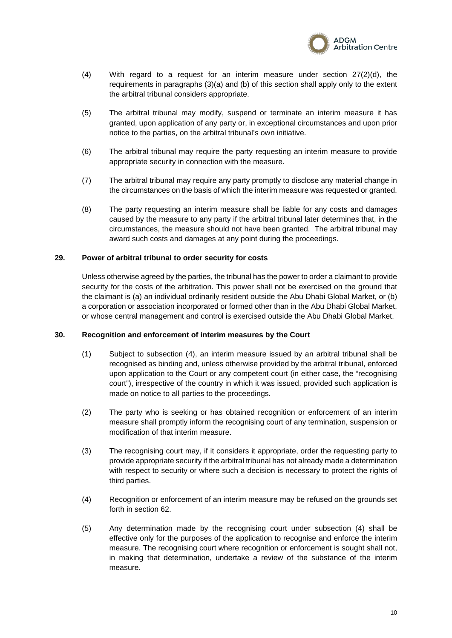

- (4) With regard to a request for an interim measure under section  $27(2)(d)$ , the requirements in paragraphs [\(3\)\(a\)](#page-11-5) and [\(b\)](#page-11-6) of this section shall apply onl[y to](#page-10-4) the extent the arbitral tribunal considers appropriate.
- (5) The arbitral tribunal may modify, suspend or terminate an interim measure it has granted, upon application of any party or, in exceptional circumstances and upon prior notice to the parties, on the arbitral tribunal's own initiative.
- (6) The arbitral tribunal may require the party requesting an interim measure to provide appropriate security in connection with the measure.
- (7) The arbitral tribunal may require any party promptly to disclose any material change in the circumstances on the basis of which the interim measure was requested or granted.
- (8) The party requesting an interim measure shall be liable for any costs and damages caused by the measure to any party if the arbitral tribunal later determines that, in the circumstances, the measure should not have been granted. The arbitral tribunal may award such costs and damages at any point during the proceedings.

#### <span id="page-12-0"></span>**29. Power of arbitral tribunal to order security for costs**

Unless otherwise agreed by the parties, the tribunal has the power to order a claimant to provide security for the costs of the arbitration. This power shall not be exercised on the ground that the claimant is (a) an individual ordinarily resident outside the Abu Dhabi Global Market, or (b) a corporation or association incorporated or formed other than in the Abu Dhabi Global Market, or whose central management and control is exercised outside the Abu Dhabi Global Market.

#### <span id="page-12-1"></span>**30. Recognition and enforcement of interim measures by the Court**

- (1) Subject to subsection (4), an interim measure issued by an arbitral tribunal shall be recognised as binding and, unless otherwise provided by the arbitral tribunal, enforced upon application to the Court or any competent court (in either case, the "recognising court"), irrespective of the country in which it was issued, provided such application is made on notice to all parties to the proceedings*.*
- (2) The party who is seeking or has obtained recognition or enforcement of an interim measure shall promptly inform the recognising court of any termination, suspension or modification of that interim measure.
- (3) The recognising court may, if it considers it appropriate, order the requesting party to provide appropriate security if the arbitral tribunal has not already made a determination with respect to security or where such a decision is necessary to protect the rights of third parties.
- <span id="page-12-2"></span>(4) Recognition or enforcement of an interim measure may be refused on the grounds set forth in section [62.](#page-27-1)
- (5) Any determination made by the recognising court under subsection [\(4\)](#page-12-2) shall be effective only for the purposes of the application to recognise and enforce the interim measure. The recognising court where recognition or enforcement is sought shall not, in making that determination, undertake a review of the substance of the interim measure.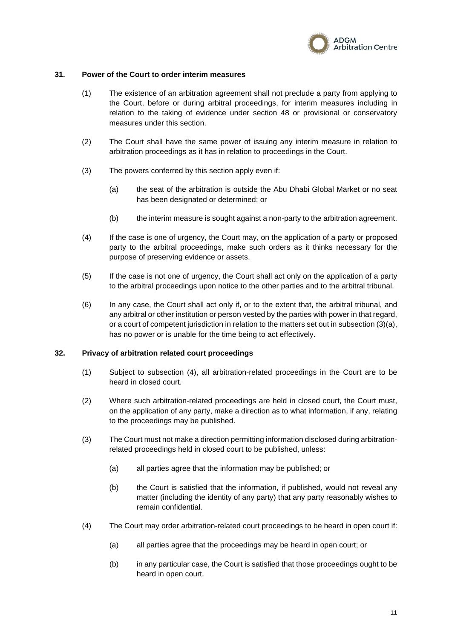

#### <span id="page-13-0"></span>**31. Power of the Court to order interim measures**

- (1) The existence of an arbitration agreement shall not preclude a party from applying to the Court, before or during arbitral proceedings, for interim measures including in relation to the taking of evidence under section [48](#page-20-1) or provisional or conservatory measures under this section.
- <span id="page-13-3"></span>(2) The Court shall have the same power of issuing any interim measure in relation to arbitration proceedings as it has in relation to proceedings in the Court.
- <span id="page-13-4"></span>(3) The powers conferred by this section apply even if:
	- (a) the seat of the arbitration is outside the Abu Dhabi Global Market or no seat has been designated or determined; or
	- (b) the interim measure is sought against a non-party to the arbitration agreement.
- (4) If the case is one of urgency, the Court may, on the application of a party or proposed party to the arbitral proceedings, make such orders as it thinks necessary for the purpose of preserving evidence or assets.
- (5) If the case is not one of urgency, the Court shall act only on the application of a party to the arbitral proceedings upon notice to the other parties and to the arbitral tribunal.
- <span id="page-13-5"></span>(6) In any case, the Court shall act only if, or to the extent that, the arbitral tribunal, and any arbitral or other institution or person vested by the parties with power in that regard, or a court of competent jurisdiction in relation to the matters set out in subsection (3)(a), has no power or is unable for the time being to act effectively.

#### <span id="page-13-1"></span>**32. Privacy of arbitration related court proceedings**

- (1) Subject to subsection [\(4\),](#page-13-2) all arbitration-related proceedings in the Court are to be heard in closed court.
- (2) Where such arbitration-related proceedings are held in closed court, the Court must, on the application of any party, make a direction as to what information, if any, relating to the proceedings may be published.
- (3) The Court must not make a direction permitting information disclosed during arbitrationrelated proceedings held in closed court to be published, unless:
	- (a) all parties agree that the information may be published; or
	- (b) the Court is satisfied that the information, if published, would not reveal any matter (including the identity of any party) that any party reasonably wishes to remain confidential.
- <span id="page-13-2"></span>(4) The Court may order arbitration-related court proceedings to be heard in open court if:
	- (a) all parties agree that the proceedings may be heard in open court; or
	- (b) in any particular case, the Court is satisfied that those proceedings ought to be heard in open court.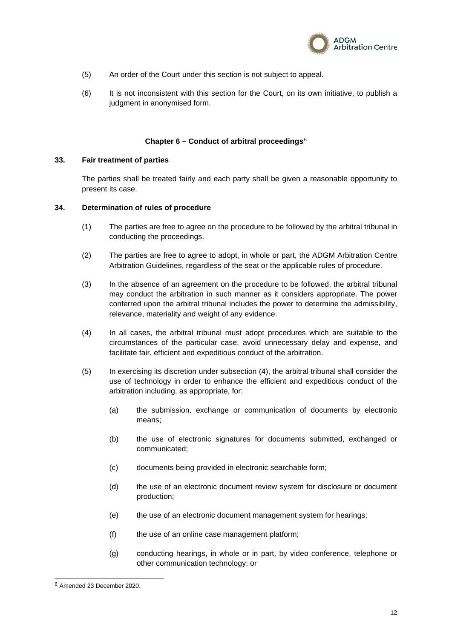

- (5) An order of the Court under this section is not subject to appeal.
- (6) It is not inconsistent with this section for the Court, on its own initiative, to publish a judgment in anonymised form.

## <span id="page-14-0"></span>**Chapter 6 – Conduct of arbitral proceedings**[6](#page-14-4)

#### <span id="page-14-1"></span>**33. Fair treatment of parties**

The parties shall be treated fairly and each party shall be given a reasonable opportunity to present its case.

#### <span id="page-14-6"></span><span id="page-14-2"></span>**34. Determination of rules of procedure**

- (1) The parties are free to agree on the procedure to be followed by the arbitral tribunal in conducting the proceedings.
- (2) The parties are free to agree to adopt, in whole or part, the ADGM Arbitration Centre Arbitration Guidelines, regardless of the seat or the applicable rules of procedure.
- (3) In the absence of an agreement on the procedure to be followed, the arbitral tribunal may conduct the arbitration in such manner as it considers appropriate. The power conferred upon the arbitral tribunal includes the power to determine the admissibility, relevance, materiality and weight of any evidence.
- <span id="page-14-3"></span>(4) In all cases, the arbitral tribunal must adopt procedures which are suitable to the circumstances of the particular case, avoid unnecessary delay and expense, and facilitate fair, efficient and expeditious conduct of the arbitration.
- <span id="page-14-5"></span>(5) In exercising its discretion under subsection [\(4\),](#page-14-3) the arbitral tribunal shall consider the use of technology in order to enhance the efficient and expeditious conduct of the arbitration including, as appropriate, for:
	- (a) the submission, exchange or communication of documents by electronic means;
	- (b) the use of electronic signatures for documents submitted, exchanged or communicated;
	- (c) documents being provided in electronic searchable form;
	- (d) the use of an electronic document review system for disclosure or document production;
	- (e) the use of an electronic document management system for hearings;
	- (f) the use of an online case management platform;
	- (g) conducting hearings, in whole or in part, by video conference, telephone or other communication technology; or

<span id="page-14-4"></span><sup>6</sup> Amended 23 December 2020.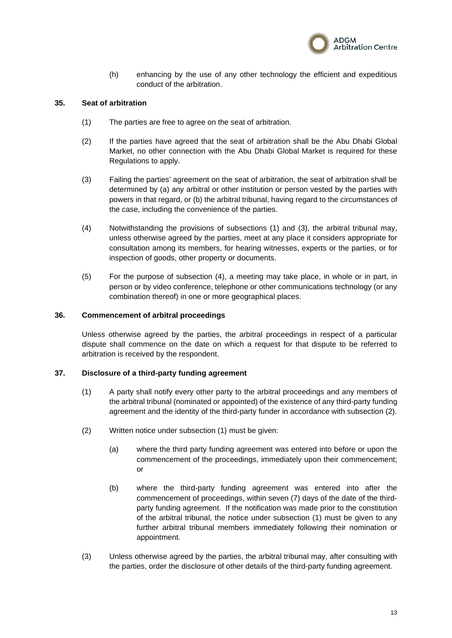

(h) enhancing by the use of any other technology the efficient and expeditious conduct of the arbitration.

## <span id="page-15-8"></span><span id="page-15-3"></span><span id="page-15-0"></span>**35. Seat of arbitration**

- (1) The parties are free to agree on the seat of arbitration.
- (2) If the parties have agreed that the seat of arbitration shall be the Abu Dhabi Global Market, no other connection with the Abu Dhabi Global Market is required for these Regulations to apply.
- <span id="page-15-4"></span>(3) Failing the parties' agreement on the seat of arbitration, the seat of arbitration shall be determined by (a) any arbitral or other institution or person vested by the parties with powers in that regard, or (b) the arbitral tribunal, having regard to the circumstances of the case, including the convenience of the parties.
- <span id="page-15-5"></span>(4) Notwithstanding the provisions of subsections [\(1\)](#page-15-3) and [\(3\),](#page-15-4) the arbitral tribunal may, unless otherwise agreed by the parties, meet at any place it considers appropriate for consultation among its members, for hearing witnesses, experts or the parties, or for inspection of goods, other property or documents.
- (5) For the purpose of subsection [\(4\),](#page-15-5) a meeting may take place, in whole or in part, in person or by video conference, telephone or other communications technology (or any combination thereof) in one or more geographical places.

#### <span id="page-15-1"></span>**36. Commencement of arbitral proceedings**

Unless otherwise agreed by the parties, the arbitral proceedings in respect of a particular dispute shall commence on the date on which a request for that dispute to be referred to arbitration is received by the respondent.

#### <span id="page-15-7"></span><span id="page-15-2"></span>**37. Disclosure of a third-party funding agreement**

- (1) A party shall notify every other party to the arbitral proceedings and any members of the arbitral tribunal (nominated or appointed) of the existence of any third-party funding agreement and the identity of the third-party funder in accordance with subsection [\(2\).](#page-15-6)
- <span id="page-15-6"></span>(2) Written notice under subsection [\(1\)](#page-15-7) must be given:
	- (a) where the third party funding agreement was entered into before or upon the commencement of the proceedings, immediately upon their commencement; or
	- (b) where the third-party funding agreement was entered into after the commencement of proceedings, within seven (7) days of the date of the thirdparty funding agreement. If the notification was made prior to the constitution of the arbitral tribunal, the notice under subsection [\(1\)](#page-15-7) must be given to any further arbitral tribunal members immediately following their nomination or appointment.
- (3) Unless otherwise agreed by the parties, the arbitral tribunal may, after consulting with the parties, order the disclosure of other details of the third-party funding agreement.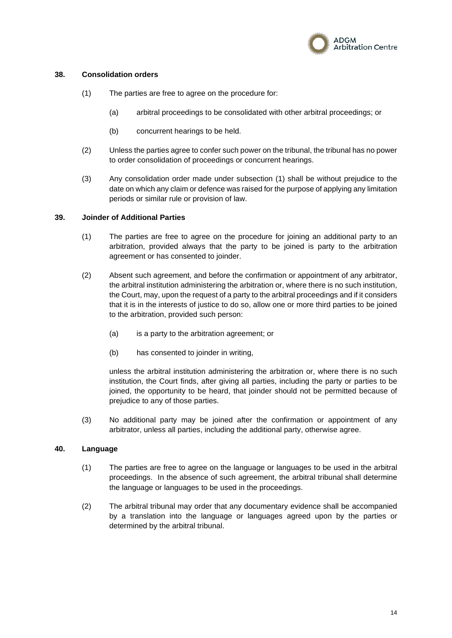

## <span id="page-16-4"></span><span id="page-16-0"></span>**38. Consolidation orders**

- (1) The parties are free to agree on the procedure for:
	- (a) arbitral proceedings to be consolidated with other arbitral proceedings; or
	- (b) concurrent hearings to be held.
- (2) Unless the parties agree to confer such power on the tribunal, the tribunal has no power to order consolidation of proceedings or concurrent hearings.
- <span id="page-16-5"></span>(3) Any consolidation order made under subsection [\(1\)](#page-16-4) shall be without prejudice to the date on which any claim or defence was raised for the purpose of applying any limitation periods or similar rule or provision of law.

#### <span id="page-16-1"></span>**39. Joinder of Additional Parties**

- (1) The parties are free to agree on the procedure for joining an additional party to an arbitration, provided always that the party to be joined is party to the arbitration agreement or has consented to joinder.
- <span id="page-16-3"></span>(2) Absent such agreement, and before the confirmation or appointment of any arbitrator, the arbitral institution administering the arbitration or, where there is no such institution, the Court, may, upon the request of a party to the arbitral proceedings and if it considers that it is in the interests of justice to do so, allow one or more third parties to be joined to the arbitration, provided such person:
	- (a) is a party to the arbitration agreement; or
	- (b) has consented to joinder in writing,

unless the arbitral institution administering the arbitration or, where there is no such institution, the Court finds, after giving all parties, including the party or parties to be joined, the opportunity to be heard, that joinder should not be permitted because of prejudice to any of those parties.

(3) No additional party may be joined after the confirmation or appointment of any arbitrator, unless all parties, including the additional party, otherwise agree.

## <span id="page-16-2"></span>**40. Language**

- (1) The parties are free to agree on the language or languages to be used in the arbitral proceedings. In the absence of such agreement, the arbitral tribunal shall determine the language or languages to be used in the proceedings.
- (2) The arbitral tribunal may order that any documentary evidence shall be accompanied by a translation into the language or languages agreed upon by the parties or determined by the arbitral tribunal.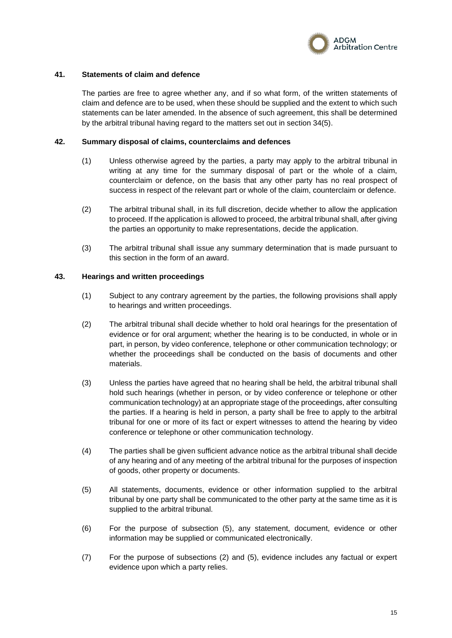

## <span id="page-17-0"></span>**41. Statements of claim and defence**

The parties are free to agree whether any, and if so what form, of the written statements of claim and defence are to be used, when these should be supplied and the extent to which such statements can be later amended. In the absence of such agreement, this shall be determined by the arbitral tribunal having regard to the matters set out in section [34\(5\).](#page-14-5)

#### <span id="page-17-1"></span>**42. Summary disposal of claims, counterclaims and defences**

- (1) Unless otherwise agreed by the parties, a party may apply to the arbitral tribunal in writing at any time for the summary disposal of part or the whole of a claim, counterclaim or defence, on the basis that any other party has no real prospect of success in respect of the relevant part or whole of the claim, counterclaim or defence.
- (2) The arbitral tribunal shall, in its full discretion, decide whether to allow the application to proceed. If the application is allowed to proceed, the arbitral tribunal shall, after giving the parties an opportunity to make representations, decide the application.
- (3) The arbitral tribunal shall issue any summary determination that is made pursuant to this section in the form of an award.

#### <span id="page-17-2"></span>**43. Hearings and written proceedings**

- (1) Subject to any contrary agreement by the parties, the following provisions shall apply to hearings and written proceedings.
- (2) The arbitral tribunal shall decide whether to hold oral hearings for the presentation of evidence or for oral argument; whether the hearing is to be conducted, in whole or in part, in person, by video conference, telephone or other communication technology; or whether the proceedings shall be conducted on the basis of documents and other materials.
- (3) Unless the parties have agreed that no hearing shall be held, the arbitral tribunal shall hold such hearings (whether in person, or by video conference or telephone or other communication technology) at an appropriate stage of the proceedings, after consulting the parties. If a hearing is held in person, a party shall be free to apply to the arbitral tribunal for one or more of its fact or expert witnesses to attend the hearing by video conference or telephone or other communication technology.
- (4) The parties shall be given sufficient advance notice as the arbitral tribunal shall decide of any hearing and of any meeting of the arbitral tribunal for the purposes of inspection of goods, other property or documents.
- <span id="page-17-3"></span>(5) All statements, documents, evidence or other information supplied to the arbitral tribunal by one party shall be communicated to the other party at the same time as it is supplied to the arbitral tribunal.
- (6) For the purpose of subsection [\(5\),](#page-17-3) any statement, document, evidence or other information may be supplied or communicated electronically.
- (7) For the purpose of subsections (2) and (5), evidence includes any factual or expert evidence upon which a party relies.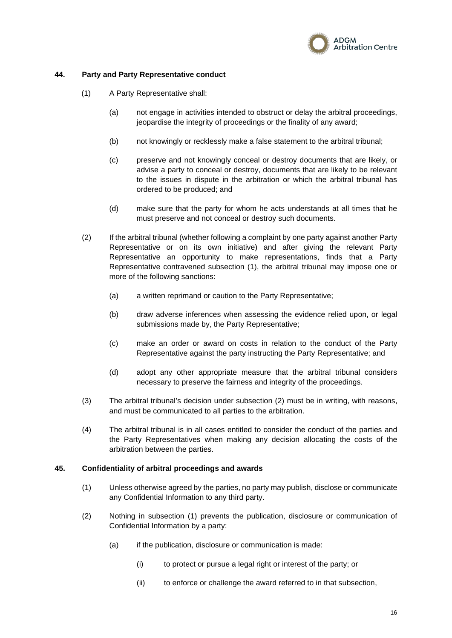

## <span id="page-18-2"></span><span id="page-18-0"></span>**44. Party and Party Representative conduct**

- (1) A Party Representative shall:
	- (a) not engage in activities intended to obstruct or delay the arbitral proceedings, jeopardise the integrity of proceedings or the finality of any award;
	- (b) not knowingly or recklessly make a false statement to the arbitral tribunal;
	- (c) preserve and not knowingly conceal or destroy documents that are likely, or advise a party to conceal or destroy, documents that are likely to be relevant to the issues in dispute in the arbitration or which the arbitral tribunal has ordered to be produced; and
	- (d) make sure that the party for whom he acts understands at all times that he must preserve and not conceal or destroy such documents.
- <span id="page-18-3"></span>(2) If the arbitral tribunal (whether following a complaint by one party against another Party Representative or on its own initiative) and after giving the relevant Party Representative an opportunity to make representations, finds that a Party Representative contravened subsection [\(1\),](#page-18-2) the arbitral tribunal may impose one or more of the following sanctions:
	- (a) a written reprimand or caution to the Party Representative;
	- (b) draw adverse inferences when assessing the evidence relied upon, or legal submissions made by, the Party Representative;
	- (c) make an order or award on costs in relation to the conduct of the Party Representative against the party instructing the Party Representative; and
	- (d) adopt any other appropriate measure that the arbitral tribunal considers necessary to preserve the fairness and integrity of the proceedings.
- (3) The arbitral tribunal's decision under subsection [\(2\)](#page-18-3) must be in writing, with reasons, and must be communicated to all parties to the arbitration.
- (4) The arbitral tribunal is in all cases entitled to consider the conduct of the parties and the Party Representatives when making any decision allocating the costs of the arbitration between the parties.

#### <span id="page-18-4"></span><span id="page-18-1"></span>**45. Confidentiality of arbitral proceedings and awards**

- (1) Unless otherwise agreed by the parties, no party may publish, disclose or communicate any Confidential Information to any third party.
- <span id="page-18-5"></span>(2) Nothing in subsection [\(1\)](#page-18-4) prevents the publication, disclosure or communication of Confidential Information by a party:
	- (a) if the publication, disclosure or communication is made:
		- (i) to protect or pursue a legal right or interest of the party; or
		- (ii) to enforce or challenge the award referred to in that subsection,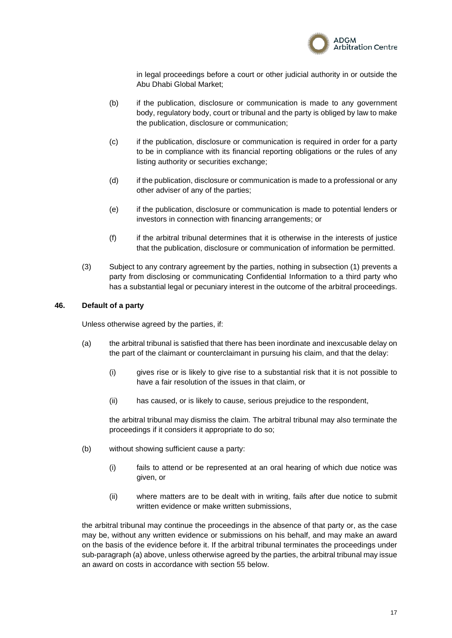

in legal proceedings before a court or other judicial authority in or outside the Abu Dhabi Global Market;

- (b) if the publication, disclosure or communication is made to any government body, regulatory body, court or tribunal and the party is obliged by law to make the publication, disclosure or communication;
- (c) if the publication, disclosure or communication is required in order for a party to be in compliance with its financial reporting obligations or the rules of any listing authority or securities exchange;
- (d) if the publication, disclosure or communication is made to a professional or any other adviser of any of the parties;
- (e) if the publication, disclosure or communication is made to potential lenders or investors in connection with financing arrangements; or
- (f) if the arbitral tribunal determines that it is otherwise in the interests of justice that the publication, disclosure or communication of information be permitted.
- (3) Subject to any contrary agreement by the parties, nothing in subsection [\(1\)](#page-18-4) prevents a party from disclosing or communicating Confidential Information to a third party who has a substantial legal or pecuniary interest in the outcome of the arbitral proceedings.

#### <span id="page-19-1"></span><span id="page-19-0"></span>**46. Default of a party**

Unless otherwise agreed by the parties, if:

- (a) the arbitral tribunal is satisfied that there has been inordinate and inexcusable delay on the part of the claimant or counterclaimant in pursuing his claim, and that the delay:
	- (i) gives rise or is likely to give rise to a substantial risk that it is not possible to have a fair resolution of the issues in that claim, or
	- (ii) has caused, or is likely to cause, serious prejudice to the respondent,

the arbitral tribunal may dismiss the claim. The arbitral tribunal may also terminate the proceedings if it considers it appropriate to do so;

- (b) without showing sufficient cause a party:
	- (i) fails to attend or be represented at an oral hearing of which due notice was given, or
	- (ii) where matters are to be dealt with in writing, fails after due notice to submit written evidence or make written submissions.

the arbitral tribunal may continue the proceedings in the absence of that party or, as the case may be, without any written evidence or submissions on his behalf, and may make an award on the basis of the evidence before it. If the arbitral tribunal terminates the proceedings under sub-paragraph [\(a\)](#page-19-1) above, unless otherwise agreed by the parties, the arbitral tribunal may issue an award on costs in accordance with section [55](#page-22-3) below.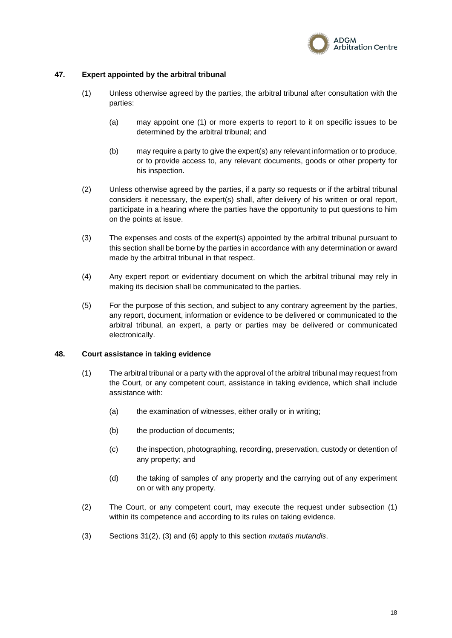

## <span id="page-20-0"></span>**47. Expert appointed by the arbitral tribunal**

- (1) Unless otherwise agreed by the parties, the arbitral tribunal after consultation with the parties:
	- (a) may appoint one (1) or more experts to report to it on specific issues to be determined by the arbitral tribunal; and
	- (b) may require a party to give the expert(s) any relevant information or to produce, or to provide access to, any relevant documents, goods or other property for his inspection.
- (2) Unless otherwise agreed by the parties, if a party so requests or if the arbitral tribunal considers it necessary, the expert(s) shall, after delivery of his written or oral report, participate in a hearing where the parties have the opportunity to put questions to him on the points at issue.
- <span id="page-20-3"></span>(3) The expenses and costs of the expert(s) appointed by the arbitral tribunal pursuant to this section shall be borne by the parties in accordance with any determination or award made by the arbitral tribunal in that respect.
- <span id="page-20-4"></span>(4) Any expert report or evidentiary document on which the arbitral tribunal may rely in making its decision shall be communicated to the parties.
- (5) For the purpose of this section, and subject to any contrary agreement by the parties, any report, document, information or evidence to be delivered or communicated to the arbitral tribunal, an expert, a party or parties may be delivered or communicated electronically.

## <span id="page-20-2"></span><span id="page-20-1"></span>**48. Court assistance in taking evidence**

- (1) The arbitral tribunal or a party with the approval of the arbitral tribunal may request from the Court, or any competent court, assistance in taking evidence, which shall include assistance with:
	- (a) the examination of witnesses, either orally or in writing;
	- (b) the production of documents;
	- (c) the inspection, photographing, recording, preservation, custody or detention of any property; and
	- (d) the taking of samples of any property and the carrying out of any experiment on or with any property.
- (2) The Court, or any competent court, may execute the request under subsection [\(1\)](#page-20-2) within its competence and according to its rules on taking evidence.
- (3) Sections [31\(2\),](#page-13-3) [\(3\)](#page-13-4) and [\(6\)](#page-13-5) apply to this section *mutatis mutandis*.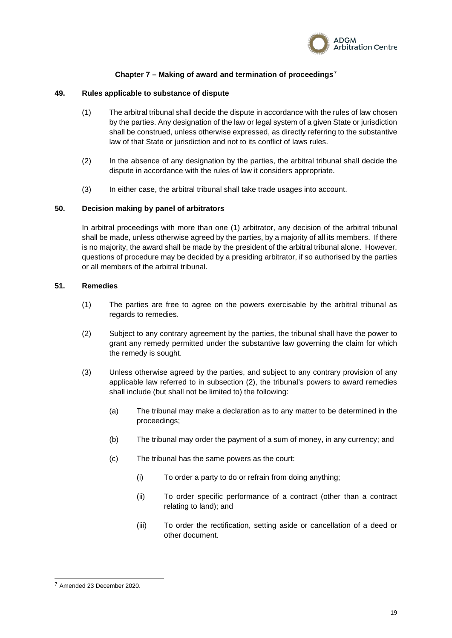

## <span id="page-21-0"></span>**Chapter 7 – Making of award and termination of proceedings**[7](#page-21-5)

#### <span id="page-21-6"></span><span id="page-21-1"></span>**49. Rules applicable to substance of dispute**

- (1) The arbitral tribunal shall decide the dispute in accordance with the rules of law chosen by the parties. Any designation of the law or legal system of a given State or jurisdiction shall be construed, unless otherwise expressed, as directly referring to the substantive law of that State or jurisdiction and not to its conflict of laws rules.
- (2) In the absence of any designation by the parties, the arbitral tribunal shall decide the dispute in accordance with the rules of law it considers appropriate.
- (3) In either case, the arbitral tribunal shall take trade usages into account.

#### <span id="page-21-7"></span><span id="page-21-2"></span>**50. Decision making by panel of arbitrators**

In arbitral proceedings with more than one (1) arbitrator, any decision of the arbitral tribunal shall be made, unless otherwise agreed by the parties, by a majority of all its members. If there is no majority, the award shall be made by the president of the arbitral tribunal alone. However, questions of procedure may be decided by a presiding arbitrator, if so authorised by the parties or all members of the arbitral tribunal.

#### <span id="page-21-3"></span>**51. Remedies**

- (1) The parties are free to agree on the powers exercisable by the arbitral tribunal as regards to remedies.
- <span id="page-21-4"></span>(2) Subject to any contrary agreement by the parties, the tribunal shall have the power to grant any remedy permitted under the substantive law governing the claim for which the remedy is sought.
- (3) Unless otherwise agreed by the parties, and subject to any contrary provision of any applicable law referred to in subsection [\(2\),](#page-21-4) the tribunal's powers to award remedies shall include (but shall not be limited to) the following:
	- (a) The tribunal may make a declaration as to any matter to be determined in the proceedings;
	- (b) The tribunal may order the payment of a sum of money, in any currency; and
	- (c) The tribunal has the same powers as the court:
		- (i) To order a party to do or refrain from doing anything;
		- (ii) To order specific performance of a contract (other than a contract relating to land); and
		- (iii) To order the rectification, setting aside or cancellation of a deed or other document.

<span id="page-21-5"></span><sup>7</sup> Amended 23 December 2020.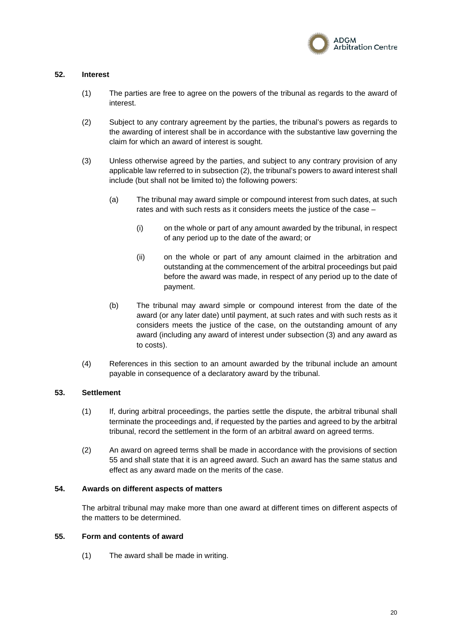

## <span id="page-22-0"></span>**52. Interest**

- (1) The parties are free to agree on the powers of the tribunal as regards to the award of interest.
- <span id="page-22-4"></span>(2) Subject to any contrary agreement by the parties, the tribunal's powers as regards to the awarding of interest shall be in accordance with the substantive law governing the claim for which an award of interest is sought.
- <span id="page-22-5"></span>(3) Unless otherwise agreed by the parties, and subject to any contrary provision of any applicable law referred to in subsection [\(2\),](#page-22-4) the tribunal's powers to award interest shall include (but shall not be limited to) the following powers:
	- (a) The tribunal may award simple or compound interest from such dates, at such rates and with such rests as it considers meets the justice of the case –
		- (i) on the whole or part of any amount awarded by the tribunal, in respect of any period up to the date of the award; or
		- (ii) on the whole or part of any amount claimed in the arbitration and outstanding at the commencement of the arbitral proceedings but paid before the award was made, in respect of any period up to the date of payment.
	- (b) The tribunal may award simple or compound interest from the date of the award (or any later date) until payment, at such rates and with such rests as it considers meets the justice of the case, on the outstanding amount of any award (including any award of interest under subsection [\(3\)](#page-22-5) and any award as to costs).
- (4) References in this section to an amount awarded by the tribunal include an amount payable in consequence of a declaratory award by the tribunal.

## <span id="page-22-1"></span>**53. Settlement**

- (1) If, during arbitral proceedings, the parties settle the dispute, the arbitral tribunal shall terminate the proceedings and, if requested by the parties and agreed to by the arbitral tribunal, record the settlement in the form of an arbitral award on agreed terms.
- (2) An award on agreed terms shall be made in accordance with the provisions of section [55](#page-22-3) and shall state that it is an agreed award. Such an award has the same status and effect as any award made on the merits of the case.

#### <span id="page-22-2"></span>**54. Awards on different aspects of matters**

The arbitral tribunal may make more than one award at different times on different aspects of the matters to be determined.

#### <span id="page-22-6"></span><span id="page-22-3"></span>**55. Form and contents of award**

(1) The award shall be made in writing.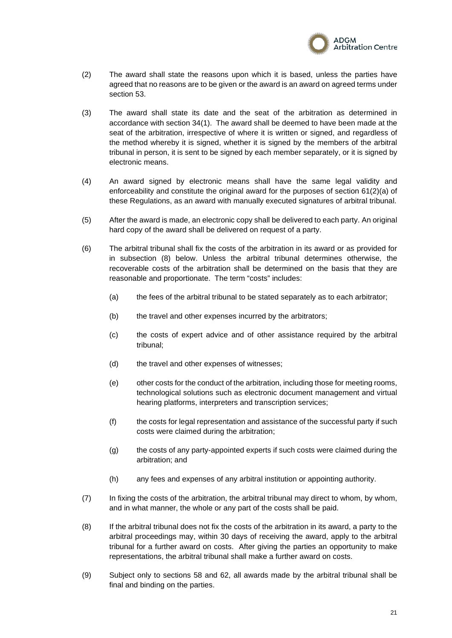

- (2) The award shall state the reasons upon which it is based, unless the parties have agreed that no reasons are to be given or the award is an award on agreed terms under section [53.](#page-22-1)
- <span id="page-23-1"></span>(3) The award shall state its date and the seat of the arbitration as determined in accordance with section [34\(1\).](#page-14-6) The award shall be deemed to have been made at the seat of the arbitration, irrespective of where it is written or signed, and regardless of the method whereby it is signed, whether it is signed by the members of the arbitral tribunal in person, it is sent to be signed by each member separately, or it is signed by electronic means.
- (4) An award signed by electronic means shall have the same legal validity and enforceability and constitute the original award for the purposes of section [61\(2\)\(a\)](#page-27-2) of these Regulations, as an award with manually executed signatures of arbitral tribunal.
- (5) After the award is made, an electronic copy shall be delivered to each party. An original hard copy of the award shall be delivered on request of a party.
- (6) The arbitral tribunal shall fix the costs of the arbitration in its award or as provided for in subsection [\(8\)](#page-23-0) below. Unless the arbitral tribunal determines otherwise, the recoverable costs of the arbitration shall be determined on the basis that they are reasonable and proportionate. The term "costs" includes:
	- (a) the fees of the arbitral tribunal to be stated separately as to each arbitrator;
	- (b) the travel and other expenses incurred by the arbitrators;
	- (c) the costs of expert advice and of other assistance required by the arbitral tribunal;
	- (d) the travel and other expenses of witnesses;
	- (e) other costs for the conduct of the arbitration, including those for meeting rooms, technological solutions such as electronic document management and virtual hearing platforms, interpreters and transcription services;
	- (f) the costs for legal representation and assistance of the successful party if such costs were claimed during the arbitration;
	- (g) the costs of any party-appointed experts if such costs were claimed during the arbitration; and
	- (h) any fees and expenses of any arbitral institution or appointing authority.
- (7) In fixing the costs of the arbitration, the arbitral tribunal may direct to whom, by whom, and in what manner, the whole or any part of the costs shall be paid.
- <span id="page-23-0"></span>(8) If the arbitral tribunal does not fix the costs of the arbitration in its award, a party to the arbitral proceedings may, within 30 days of receiving the award, apply to the arbitral tribunal for a further award on costs. After giving the parties an opportunity to make representations, the arbitral tribunal shall make a further award on costs.
- <span id="page-23-2"></span>(9) Subject only to sections [58](#page-25-1) and [62,](#page-27-1) all awards made by the arbitral tribunal shall be final and binding on the parties.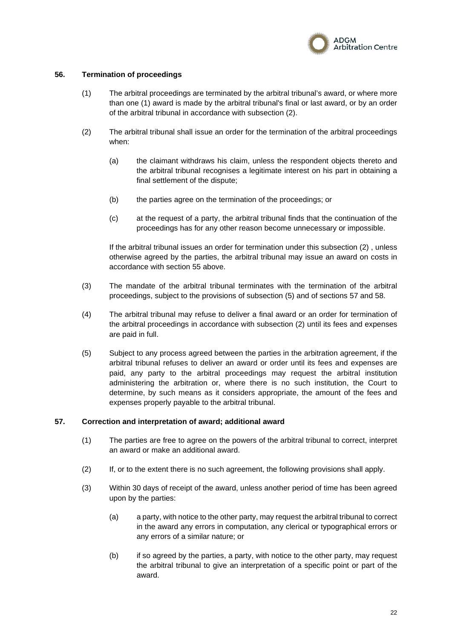

## <span id="page-24-7"></span><span id="page-24-0"></span>**56. Termination of proceedings**

- (1) The arbitral proceedings are terminated by the arbitral tribunal's award, or where more than one (1) award is made by the arbitral tribunal's final or last award, or by an order of the arbitral tribunal in accordance with subsection [\(2\).](#page-24-3)
- <span id="page-24-6"></span><span id="page-24-3"></span>(2) The arbitral tribunal shall issue an order for the termination of the arbitral proceedings when:
	- (a) the claimant withdraws his claim, unless the respondent objects thereto and the arbitral tribunal recognises a legitimate interest on his part in obtaining a final settlement of the dispute;
	- (b) the parties agree on the termination of the proceedings; or
	- (c) at the request of a party, the arbitral tribunal finds that the continuation of the proceedings has for any other reason become unnecessary or impossible.

If the arbitral tribunal issues an order for termination under this subsection [\(2\)](#page-24-3) , unless otherwise agreed by the parties, the arbitral tribunal may issue an award on costs in accordance with section [55](#page-22-3) above.

- (3) The mandate of the arbitral tribunal terminates with the termination of the arbitral proceedings, subject to the provisions of subsection [\(5\)](#page-24-2) and of sections [57](#page-24-1) and [58.](#page-25-1)
- <span id="page-24-8"></span>(4) The arbitral tribunal may refuse to deliver a final award or an order for termination of the arbitral proceedings in accordance with subsection [\(2\)](#page-24-3) until its fees and expenses are paid in full.
- <span id="page-24-2"></span>(5) Subject to any process agreed between the parties in the arbitration agreement, if the arbitral tribunal refuses to deliver an award or order until its fees and expenses are paid, any party to the arbitral proceedings may request the arbitral institution administering the arbitration or, where there is no such institution, the Court to determine, by such means as it considers appropriate, the amount of the fees and expenses properly payable to the arbitral tribunal.

## <span id="page-24-1"></span>**57. Correction and interpretation of award; additional award**

- (1) The parties are free to agree on the powers of the arbitral tribunal to correct, interpret an award or make an additional award.
- <span id="page-24-5"></span>(2) If, or to the extent there is no such agreement, the following provisions shall apply.
- <span id="page-24-4"></span>(3) Within 30 days of receipt of the award, unless another period of time has been agreed upon by the parties:
	- (a) a party, with notice to the other party, may request the arbitral tribunal to correct in the award any errors in computation, any clerical or typographical errors or any errors of a similar nature; or
	- (b) if so agreed by the parties, a party, with notice to the other party, may request the arbitral tribunal to give an interpretation of a specific point or part of the award.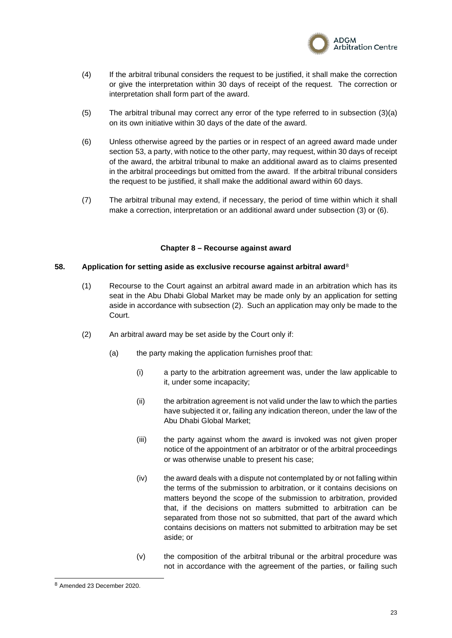

- (4) If the arbitral tribunal considers the request to be justified, it shall make the correction or give the interpretation within 30 days of receipt of the request. The correction or interpretation shall form part of the award.
- (5) The arbitral tribunal may correct any error of the type referred to in subsection [\(3\)\(a\)](#page-24-4) on its own initiative within 30 days of the date of the award.
- <span id="page-25-2"></span>(6) Unless otherwise agreed by the parties or in respect of an agreed award made under section [53,](#page-22-1) a party, with notice to the other party, may request, within 30 days of receipt of the award, the arbitral tribunal to make an additional award as to claims presented in the arbitral proceedings but omitted from the award. If the arbitral tribunal considers the request to be justified, it shall make the additional award within 60 days.
- (7) The arbitral tribunal may extend, if necessary, the period of time within which it shall make a correction, interpretation or an additional award under subsection [\(3\)](#page-24-5) or [\(6\).](#page-25-2)

## <span id="page-25-0"></span>**Chapter 8 – Recourse against award**

#### <span id="page-25-1"></span>**58. Application for setting aside as exclusive recourse against arbitral award**[8](#page-25-4)

- (1) Recourse to the Court against an arbitral award made in an arbitration which has its seat in the Abu Dhabi Global Market may be made only by an application for setting aside in accordance with subsection [\(2\).](#page-25-3) Such an application may only be made to the Court.
- <span id="page-25-3"></span>(2) An arbitral award may be set aside by the Court only if:
	- (a) the party making the application furnishes proof that:
		- (i) a party to the arbitration agreement was, under the law applicable to it, under some incapacity;
		- (ii) the arbitration agreement is not valid under the law to which the parties have subjected it or, failing any indication thereon, under the law of the Abu Dhabi Global Market;
		- (iii) the party against whom the award is invoked was not given proper notice of the appointment of an arbitrator or of the arbitral proceedings or was otherwise unable to present his case;
		- (iv) the award deals with a dispute not contemplated by or not falling within the terms of the submission to arbitration, or it contains decisions on matters beyond the scope of the submission to arbitration, provided that, if the decisions on matters submitted to arbitration can be separated from those not so submitted, that part of the award which contains decisions on matters not submitted to arbitration may be set aside; or
		- (v) the composition of the arbitral tribunal or the arbitral procedure was not in accordance with the agreement of the parties, or failing such

<span id="page-25-4"></span><sup>8</sup> Amended 23 December 2020.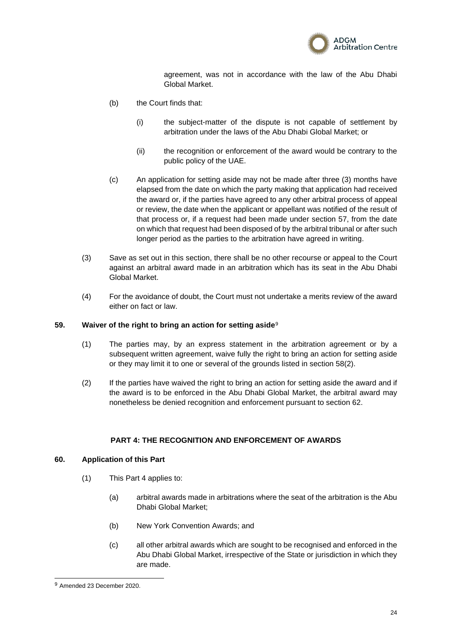

agreement, was not in accordance with the law of the Abu Dhabi Global Market.

- (b) the Court finds that:
	- (i) the subject-matter of the dispute is not capable of settlement by arbitration under the laws of the Abu Dhabi Global Market; or
	- (ii) the recognition or enforcement of the award would be contrary to the public policy of the UAE.
- (c) An application for setting aside may not be made after three (3) months have elapsed from the date on which the party making that application had received the award or, if the parties have agreed to any other arbitral process of appeal or review, the date when the applicant or appellant was notified of the result of that process or, if a request had been made under section [57,](#page-24-1) from the date on which that request had been disposed of by the arbitral tribunal or after such longer period as the parties to the arbitration have agreed in writing.
- (3) Save as set out in this section, there shall be no other recourse or appeal to the Court against an arbitral award made in an arbitration which has its seat in the Abu Dhabi Global Market.
- (4) For the avoidance of doubt, the Court must not undertake a merits review of the award either on fact or law.

## <span id="page-26-0"></span>**59. Waiver of the right to bring an action for setting aside**[9](#page-26-3)

- (1) The parties may, by an express statement in the arbitration agreement or by a subsequent written agreement, waive fully the right to bring an action for setting aside or they may limit it to one or several of the grounds listed in section [58\(2\).](#page-25-3)
- (2) If the parties have waived the right to bring an action for setting aside the award and if the award is to be enforced in the Abu Dhabi Global Market, the arbitral award may nonetheless be denied recognition and enforcement pursuant to section [62.](#page-27-1)

## **PART 4: THE RECOGNITION AND ENFORCEMENT OF AWARDS**

## <span id="page-26-4"></span><span id="page-26-2"></span><span id="page-26-1"></span>**60. Application of this Part**

- (1) This [Part 4](#page-26-1) applies to:
	- (a) arbitral awards made in arbitrations where the seat of the arbitration is the Abu Dhabi Global Market;
	- (b) New York Convention Awards; and
	- (c) all other arbitral awards which are sought to be recognised and enforced in the Abu Dhabi Global Market, irrespective of the State or jurisdiction in which they are made.

<span id="page-26-3"></span><sup>9</sup> Amended 23 December 2020.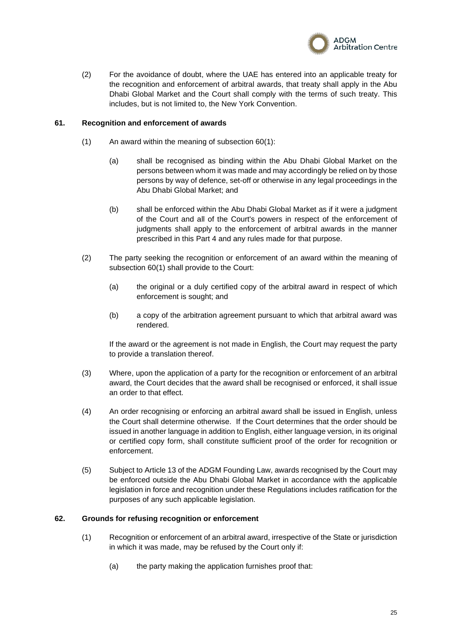

(2) For the avoidance of doubt, where the UAE has entered into an applicable treaty for the recognition and enforcement of arbitral awards, that treaty shall apply in the Abu Dhabi Global Market and the Court shall comply with the terms of such treaty. This includes, but is not limited to, the New York Convention.

## <span id="page-27-0"></span>**61. Recognition and enforcement of awards**

- $(1)$  An award within the meaning of subsection [60\(1\):](#page-26-4)
	- (a) shall be recognised as binding within the Abu Dhabi Global Market on the persons between whom it was made and may accordingly be relied on by those persons by way of defence, set-off or otherwise in any legal proceedings in the Abu Dhabi Global Market; and
	- (b) shall be enforced within the Abu Dhabi Global Market as if it were a judgment of the Court and all of the Court's powers in respect of the enforcement of judgments shall apply to the enforcement of arbitral awards in the manner prescribed in this [Part 4](#page-26-1) and any rules made for that purpose.
- <span id="page-27-2"></span>(2) The party seeking the recognition or enforcement of an award within the meaning of subsection [60\(1\)](#page-26-4) shall provide to the Court:
	- (a) the original or a duly certified copy of the arbitral award in respect of which enforcement is sought; and
	- (b) a copy of the arbitration agreement pursuant to which that arbitral award was rendered.

If the award or the agreement is not made in English, the Court may request the party to provide a translation thereof.

- (3) Where, upon the application of a party for the recognition or enforcement of an arbitral award, the Court decides that the award shall be recognised or enforced, it shall issue an order to that effect.
- (4) An order recognising or enforcing an arbitral award shall be issued in English, unless the Court shall determine otherwise. If the Court determines that the order should be issued in another language in addition to English, either language version, in its original or certified copy form, shall constitute sufficient proof of the order for recognition or enforcement.
- (5) Subject to Article 13 of the ADGM Founding Law, awards recognised by the Court may be enforced outside the Abu Dhabi Global Market in accordance with the applicable legislation in force and recognition under these Regulations includes ratification for the purposes of any such applicable legislation.

## <span id="page-27-3"></span><span id="page-27-1"></span>**62. Grounds for refusing recognition or enforcement**

- (1) Recognition or enforcement of an arbitral award, irrespective of the State or jurisdiction in which it was made, may be refused by the Court only if:
	- (a) the party making the application furnishes proof that: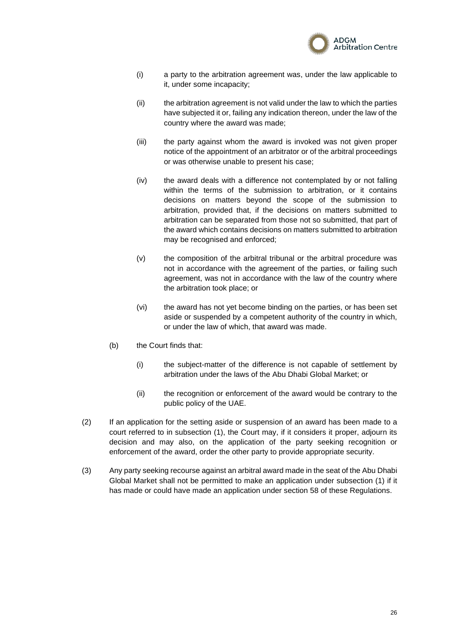

- (i) a party to the arbitration agreement was, under the law applicable to it, under some incapacity;
- (ii) the arbitration agreement is not valid under the law to which the parties have subjected it or, failing any indication thereon, under the law of the country where the award was made;
- (iii) the party against whom the award is invoked was not given proper notice of the appointment of an arbitrator or of the arbitral proceedings or was otherwise unable to present his case;
- (iv) the award deals with a difference not contemplated by or not falling within the terms of the submission to arbitration, or it contains decisions on matters beyond the scope of the submission to arbitration, provided that, if the decisions on matters submitted to arbitration can be separated from those not so submitted, that part of the award which contains decisions on matters submitted to arbitration may be recognised and enforced;
- (v) the composition of the arbitral tribunal or the arbitral procedure was not in accordance with the agreement of the parties, or failing such agreement, was not in accordance with the law of the country where the arbitration took place; or
- (vi) the award has not yet become binding on the parties, or has been set aside or suspended by a competent authority of the country in which, or under the law of which, that award was made.
- (b) the Court finds that:
	- (i) the subject-matter of the difference is not capable of settlement by arbitration under the laws of the Abu Dhabi Global Market; or
	- (ii) the recognition or enforcement of the award would be contrary to the public policy of the UAE.
- (2) If an application for the setting aside or suspension of an award has been made to a court referred to in subsection [\(1\),](#page-27-3) the Court may, if it considers it proper, adjourn its decision and may also, on the application of the party seeking recognition or enforcement of the award, order the other party to provide appropriate security.
- (3) Any party seeking recourse against an arbitral award made in the seat of the Abu Dhabi Global Market shall not be permitted to make an application under subsection [\(1\)](#page-27-3) if it has made or could have made an application under section [58](#page-25-1) of these Regulations.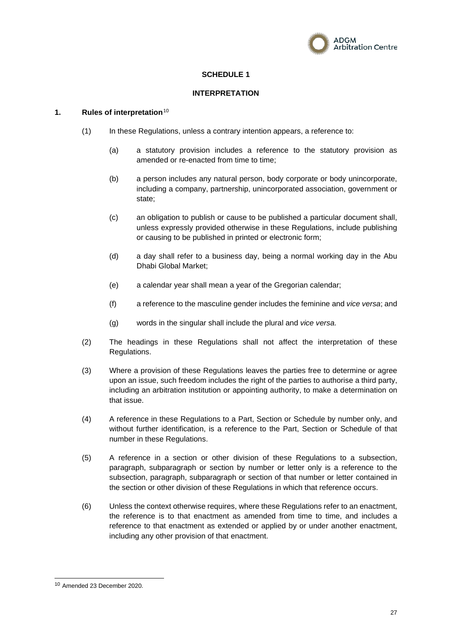

## **SCHEDULE 1**

## **INTERPRETATION**

#### <span id="page-29-1"></span><span id="page-29-0"></span>**1. Rules of interpretation**[10](#page-29-2)

- (1) In these Regulations, unless a contrary intention appears, a reference to:
	- (a) a statutory provision includes a reference to the statutory provision as amended or re-enacted from time to time;
	- (b) a person includes any natural person, body corporate or body unincorporate, including a company, partnership, unincorporated association, government or state;
	- (c) an obligation to publish or cause to be published a particular document shall, unless expressly provided otherwise in these Regulations, include publishing or causing to be published in printed or electronic form;
	- (d) a day shall refer to a business day, being a normal working day in the Abu Dhabi Global Market;
	- (e) a calendar year shall mean a year of the Gregorian calendar;
	- (f) a reference to the masculine gender includes the feminine and *vice versa*; and
	- (g) words in the singular shall include the plural and *vice versa.*
- (2) The headings in these Regulations shall not affect the interpretation of these Regulations.
- (3) Where a provision of these Regulations leaves the parties free to determine or agree upon an issue, such freedom includes the right of the parties to authorise a third party, including an arbitration institution or appointing authority, to make a determination on that issue.
- (4) A reference in these Regulations to a Part, Section or Schedule by number only, and without further identification, is a reference to the Part, Section or Schedule of that number in these Regulations.
- (5) A reference in a section or other division of these Regulations to a subsection, paragraph, subparagraph or section by number or letter only is a reference to the subsection, paragraph, subparagraph or section of that number or letter contained in the section or other division of these Regulations in which that reference occurs.
- (6) Unless the context otherwise requires, where these Regulations refer to an enactment, the reference is to that enactment as amended from time to time, and includes a reference to that enactment as extended or applied by or under another enactment, including any other provision of that enactment.

<span id="page-29-2"></span><sup>10</sup> Amended 23 December 2020.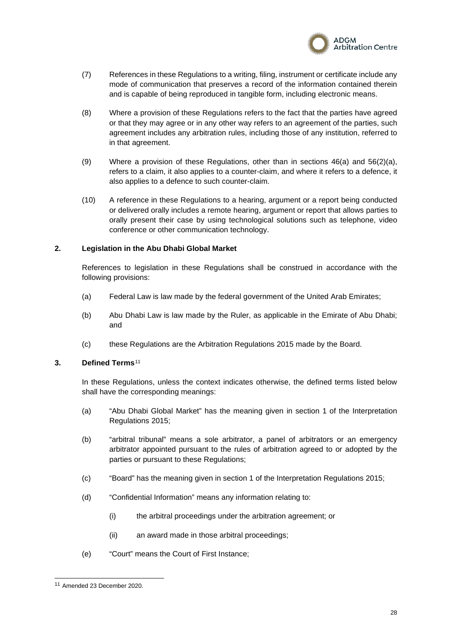

- (7) References in these Regulations to a writing, filing, instrument or certificate include any mode of communication that preserves a record of the information contained therein and is capable of being reproduced in tangible form, including electronic means.
- (8) Where a provision of these Regulations refers to the fact that the parties have agreed or that they may agree or in any other way refers to an agreement of the parties, such agreement includes any arbitration rules, including those of any institution, referred to in that agreement.
- (9) Where a provision of these Regulations, other than in sections [46\(a\)](#page-19-1) and [56\(2\)\(a\),](#page-24-6) refers to a claim, it also applies to a counter-claim, and where it refers to a defence, it also applies to a defence to such counter-claim.
- (10) A reference in these Regulations to a hearing, argument or a report being conducted or delivered orally includes a remote hearing, argument or report that allows parties to orally present their case by using technological solutions such as telephone, video conference or other communication technology.

## **2. Legislation in the Abu Dhabi Global Market**

References to legislation in these Regulations shall be construed in accordance with the following provisions:

- (a) Federal Law is law made by the federal government of the United Arab Emirates;
- (b) Abu Dhabi Law is law made by the Ruler, as applicable in the Emirate of Abu Dhabi; and
- (c) these Regulations are the Arbitration Regulations 2015 made by the Board.

## **3. Defined Terms**[11](#page-30-0)

In these Regulations, unless the context indicates otherwise, the defined terms listed below shall have the corresponding meanings:

- (a) "Abu Dhabi Global Market" has the meaning given in section 1 of the Interpretation Regulations 2015;
- (b) "arbitral tribunal" means a sole arbitrator, a panel of arbitrators or an emergency arbitrator appointed pursuant to the rules of arbitration agreed to or adopted by the parties or pursuant to these Regulations;
- (c) "Board" has the meaning given in section 1 of the Interpretation Regulations 2015;
- (d) "Confidential Information" means any information relating to:
	- (i) the arbitral proceedings under the arbitration agreement; or
	- (ii) an award made in those arbitral proceedings;
- (e) "Court" means the Court of First Instance;

<span id="page-30-0"></span><sup>11</sup> Amended 23 December 2020.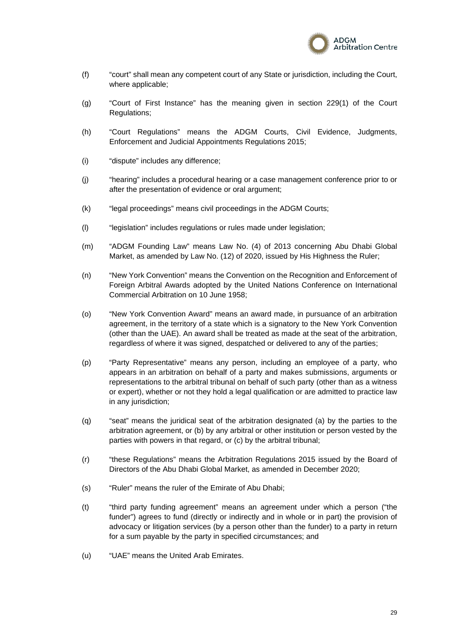

- (f) "court" shall mean any competent court of any State or jurisdiction, including the Court, where applicable;
- (g) "Court of First Instance" has the meaning given in section 229(1) of the Court Regulations;
- (h) "Court Regulations" means the ADGM Courts, Civil Evidence, Judgments, Enforcement and Judicial Appointments Regulations 2015;
- (i) "dispute" includes any difference;
- (j) "hearing" includes a procedural hearing or a case management conference prior to or after the presentation of evidence or oral argument;
- (k) "legal proceedings" means civil proceedings in the ADGM Courts;
- (I) "legislation" includes regulations or rules made under legislation;
- (m) "ADGM Founding Law" means Law No. (4) of 2013 concerning Abu Dhabi Global Market, as amended by Law No. (12) of 2020, issued by His Highness the Ruler;
- (n) "New York Convention" means the Convention on the Recognition and Enforcement of Foreign Arbitral Awards adopted by the United Nations Conference on International Commercial Arbitration on 10 June 1958;
- (o) "New York Convention Award" means an award made, in pursuance of an arbitration agreement, in the territory of a state which is a signatory to the New York Convention (other than the UAE). An award shall be treated as made at the seat of the arbitration, regardless of where it was signed, despatched or delivered to any of the parties;
- (p) "Party Representative" means any person, including an employee of a party, who appears in an arbitration on behalf of a party and makes submissions, arguments or representations to the arbitral tribunal on behalf of such party (other than as a witness or expert), whether or not they hold a legal qualification or are admitted to practice law in any jurisdiction;
- (q) "seat" means the juridical seat of the arbitration designated (a) by the parties to the arbitration agreement, or (b) by any arbitral or other institution or person vested by the parties with powers in that regard, or (c) by the arbitral tribunal;
- (r) "these Regulations" means the Arbitration Regulations 2015 issued by the Board of Directors of the Abu Dhabi Global Market, as amended in December 2020;
- (s) "Ruler" means the ruler of the Emirate of Abu Dhabi;
- (t) "third party funding agreement" means an agreement under which a person ("the funder") agrees to fund (directly or indirectly and in whole or in part) the provision of advocacy or litigation services (by a person other than the funder) to a party in return for a sum payable by the party in specified circumstances; and
- (u) "UAE" means the United Arab Emirates.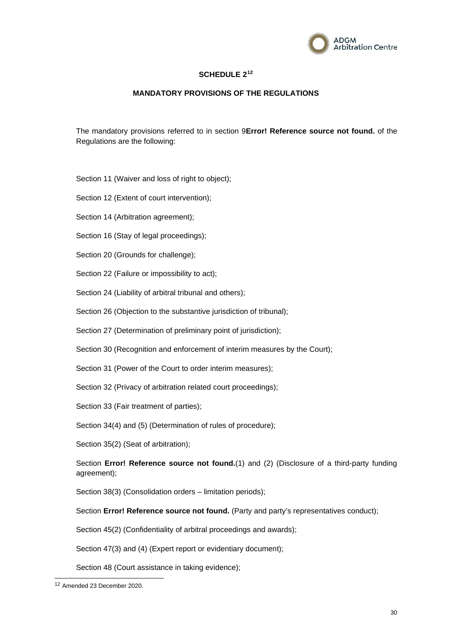

## **SCHEDULE 2[12](#page-32-2)**

## **MANDATORY PROVISIONS OF THE REGULATIONS**

<span id="page-32-1"></span><span id="page-32-0"></span>The mandatory provisions referred to in section 9**Error! Reference source not found.** of the Regulations are the following:

Section [11](#page-5-1) (Waiver and loss of right to object);

Section [12](#page-5-2) (Extent of court intervention);

Section [14](#page-6-1) (Arbitration agreement);

Section [16](#page-6-3) (Stay of legal proceedings);

Section [20](#page-8-0) (Grounds for challenge);

Section [22](#page-9-1) (Failure or impossibility to act);

Section [24](#page-10-0) (Liability of arbitral tribunal and others);

Section [26](#page-10-3) (Objection to the substantive jurisdiction of tribunal);

Section [27](#page-10-4) (Determination of preliminary point of jurisdiction);

Section [30](#page-12-1) (Recognition and enforcement of interim measures by the Court);

Section [31](#page-13-0) (Power of the Court to order interim measures);

Section [32](#page-13-1) (Privacy of arbitration related court proceedings);

Section [33](#page-14-1) (Fair treatment of parties);

Section [34\(4\)](#page-14-3) and [\(5\)](#page-14-5) (Determination of rules of procedure);

Section [35\(2\)](#page-15-8) (Seat of arbitration);

Section **Error! Reference source not found.**[\(1\)](#page-15-7) and [\(2\)](#page-15-6) (Disclosure of a third-party funding agreement);

Section [38\(3\)](#page-16-5) (Consolidation orders – limitation periods);

Section **Error! Reference source not found.** (Party and party's representatives conduct);

Section [45\(2\)](#page-18-5) (Confidentiality of arbitral proceedings and awards);

Section [47\(3\)](#page-20-3) and [\(4\)](#page-20-4) (Expert report or evidentiary document);

Section [48](#page-20-1) (Court assistance in taking evidence);

<span id="page-32-2"></span><sup>12</sup> Amended 23 December 2020.